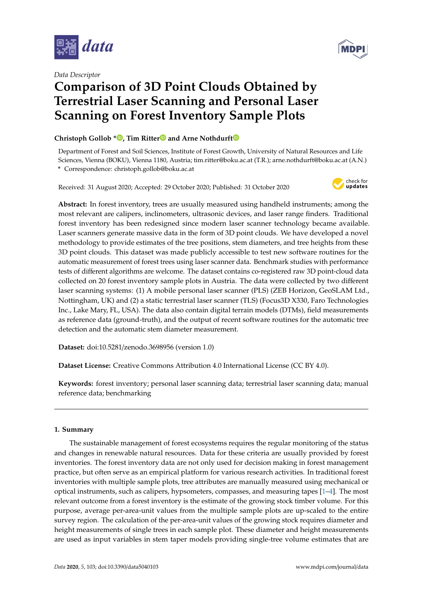

*Data Descriptor*



# **Comparison of 3D Point Clouds Obtained by Terrestrial Laser Scanning and Personal Laser Scanning on Forest Inventory Sample Plots**

## **Christoph Gollob [\\*](https://orcid.org/0000-0002-7036-5115) , Tim Ritte[r](https://orcid.org/0000-0001-7520-628X) and Arne Nothdurf[t](https://orcid.org/0000-0002-7065-7601)**

Department of Forest and Soil Sciences, Institute of Forest Growth, University of Natural Resources and Life Sciences, Vienna (BOKU), Vienna 1180, Austria; tim.ritter@boku.ac.at (T.R.); arne.nothdurft@boku.ac.at (A.N.) **\*** Correspondence: christoph.gollob@boku.ac.at

Received: 31 August 2020; Accepted: 29 October 2020; Published: 31 October 2020



**Abstract:** In forest inventory, trees are usually measured using handheld instruments; among the most relevant are calipers, inclinometers, ultrasonic devices, and laser range finders. Traditional forest inventory has been redesigned since modern laser scanner technology became available. Laser scanners generate massive data in the form of 3D point clouds. We have developed a novel methodology to provide estimates of the tree positions, stem diameters, and tree heights from these 3D point clouds. This dataset was made publicly accessible to test new software routines for the automatic measurement of forest trees using laser scanner data. Benchmark studies with performance tests of different algorithms are welcome. The dataset contains co-registered raw 3D point-cloud data collected on 20 forest inventory sample plots in Austria. The data were collected by two different laser scanning systems: (1) A mobile personal laser scanner (PLS) (ZEB Horizon, GeoSLAM Ltd., Nottingham, UK) and (2) a static terrestrial laser scanner (TLS) (Focus3D X330, Faro Technologies Inc., Lake Mary, FL, USA). The data also contain digital terrain models (DTMs), field measurements as reference data (ground-truth), and the output of recent software routines for the automatic tree detection and the automatic stem diameter measurement.

**Dataset:** doi:10.5281/zenodo.3698956 (version 1.0)

**Dataset License:** Creative Commons Attribution 4.0 International License (CC BY 4.0).

**Keywords:** forest inventory; personal laser scanning data; terrestrial laser scanning data; manual reference data; benchmarking

## **1. Summary**

The sustainable management of forest ecosystems requires the regular monitoring of the status and changes in renewable natural resources. Data for these criteria are usually provided by forest inventories. The forest inventory data are not only used for decision making in forest management practice, but often serve as an empirical platform for various research activities. In traditional forest inventories with multiple sample plots, tree attributes are manually measured using mechanical or optical instruments, such as calipers, hypsometers, compasses, and measuring tapes [\[1](#page-10-0)[–4\]](#page-10-1). The most relevant outcome from a forest inventory is the estimate of the growing stock timber volume. For this purpose, average per-area-unit values from the multiple sample plots are up-scaled to the entire survey region. The calculation of the per-area-unit values of the growing stock requires diameter and height measurements of single trees in each sample plot. These diameter and height measurements are used as input variables in stem taper models providing single-tree volume estimates that are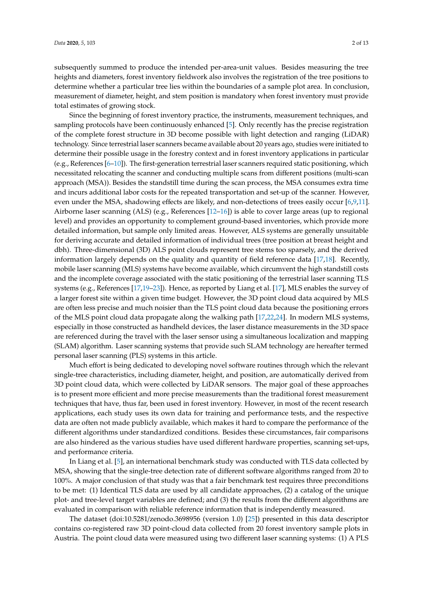subsequently summed to produce the intended per-area-unit values. Besides measuring the tree heights and diameters, forest inventory fieldwork also involves the registration of the tree positions to determine whether a particular tree lies within the boundaries of a sample plot area. In conclusion, measurement of diameter, height, and stem position is mandatory when forest inventory must provide total estimates of growing stock.

Since the beginning of forest inventory practice, the instruments, measurement techniques, and sampling protocols have been continuously enhanced [\[5\]](#page-10-2). Only recently has the precise registration of the complete forest structure in 3D become possible with light detection and ranging (LiDAR) technology. Since terrestrial laser scanners became available about 20 years ago, studies were initiated to determine their possible usage in the forestry context and in forest inventory applications in particular (e.g., References [\[6](#page-10-3)[–10\]](#page-10-4)). The first-generation terrestrial laser scanners required static positioning, which necessitated relocating the scanner and conducting multiple scans from different positions (multi-scan approach (MSA)). Besides the standstill time during the scan process, the MSA consumes extra time and incurs additional labor costs for the repeated transportation and set-up of the scanner. However, even under the MSA, shadowing effects are likely, and non-detections of trees easily occur [\[6,](#page-10-3)[9,](#page-10-5)[11\]](#page-10-6). Airborne laser scanning (ALS) (e.g., References [\[12](#page-10-7)[–16\]](#page-10-8)) is able to cover large areas (up to regional level) and provides an opportunity to complement ground-based inventories, which provide more detailed information, but sample only limited areas. However, ALS systems are generally unsuitable for deriving accurate and detailed information of individual trees (tree position at breast height and dbh). Three-dimensional (3D) ALS point clouds represent tree stems too sparsely, and the derived information largely depends on the quality and quantity of field reference data [\[17](#page-11-0)[,18\]](#page-11-1). Recently, mobile laser scanning (MLS) systems have become available, which circumvent the high standstill costs and the incomplete coverage associated with the static positioning of the terrestrial laser scanning TLS systems (e.g., References [\[17,](#page-11-0)[19](#page-11-2)[–23\]](#page-11-3)). Hence, as reported by Liang et al. [\[17\]](#page-11-0), MLS enables the survey of a larger forest site within a given time budget. However, the 3D point cloud data acquired by MLS are often less precise and much noisier than the TLS point cloud data because the positioning errors of the MLS point cloud data propagate along the walking path [\[17](#page-11-0)[,22](#page-11-4)[,24\]](#page-11-5). In modern MLS systems, especially in those constructed as handheld devices, the laser distance measurements in the 3D space are referenced during the travel with the laser sensor using a simultaneous localization and mapping (SLAM) algorithm. Laser scanning systems that provide such SLAM technology are hereafter termed personal laser scanning (PLS) systems in this article.

Much effort is being dedicated to developing novel software routines through which the relevant single-tree characteristics, including diameter, height, and position, are automatically derived from 3D point cloud data, which were collected by LiDAR sensors. The major goal of these approaches is to present more efficient and more precise measurements than the traditional forest measurement techniques that have, thus far, been used in forest inventory. However, in most of the recent research applications, each study uses its own data for training and performance tests, and the respective data are often not made publicly available, which makes it hard to compare the performance of the different algorithms under standardized conditions. Besides these circumstances, fair comparisons are also hindered as the various studies have used different hardware properties, scanning set-ups, and performance criteria.

In Liang et al. [\[5\]](#page-10-2), an international benchmark study was conducted with TLS data collected by MSA, showing that the single-tree detection rate of different software algorithms ranged from 20 to 100%. A major conclusion of that study was that a fair benchmark test requires three preconditions to be met: (1) Identical TLS data are used by all candidate approaches, (2) a catalog of the unique plot- and tree-level target variables are defined; and (3) the results from the different algorithms are evaluated in comparison with reliable reference information that is independently measured.

The dataset (doi:10.5281/zenodo.3698956 (version 1.0) [\[25\]](#page-11-6)) presented in this data descriptor contains co-registered raw 3D point-cloud data collected from 20 forest inventory sample plots in Austria. The point cloud data were measured using two different laser scanning systems: (1) A PLS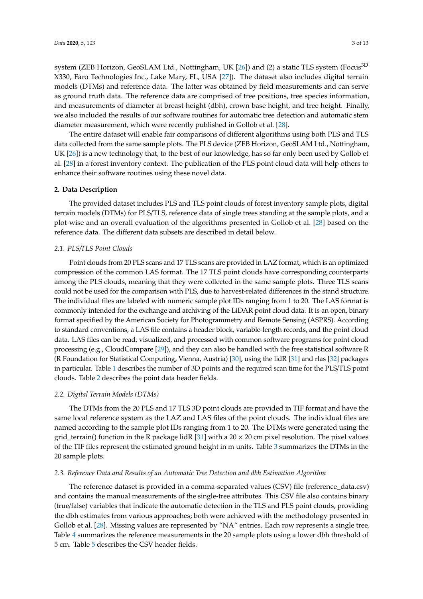system (ZEB Horizon, GeoSLAM Ltd., Nottingham, UK [\[26\]](#page-11-7)) and (2) a static TLS system (Focus<sup>3D</sup> X330, Faro Technologies Inc., Lake Mary, FL, USA [\[27\]](#page-11-8)). The dataset also includes digital terrain models (DTMs) and reference data. The latter was obtained by field measurements and can serve as ground truth data. The reference data are comprised of tree positions, tree species information, and measurements of diameter at breast height (dbh), crown base height, and tree height. Finally, we also included the results of our software routines for automatic tree detection and automatic stem diameter measurement, which were recently published in Gollob et al. [\[28\]](#page-11-9).

The entire dataset will enable fair comparisons of different algorithms using both PLS and TLS data collected from the same sample plots. The PLS device (ZEB Horizon, GeoSLAM Ltd., Nottingham, UK [\[26\]](#page-11-7)) is a new technology that, to the best of our knowledge, has so far only been used by Gollob et al. [\[28\]](#page-11-9) in a forest inventory context. The publication of the PLS point cloud data will help others to enhance their software routines using these novel data.

## **2. Data Description**

The provided dataset includes PLS and TLS point clouds of forest inventory sample plots, digital terrain models (DTMs) for PLS/TLS, reference data of single trees standing at the sample plots, and a plot-wise and an overall evaluation of the algorithms presented in Gollob et al. [\[28\]](#page-11-9) based on the reference data. The different data subsets are described in detail below.

### *2.1. PLS*/*TLS Point Clouds*

Point clouds from 20 PLS scans and 17 TLS scans are provided in LAZ format, which is an optimized compression of the common LAS format. The 17 TLS point clouds have corresponding counterparts among the PLS clouds, meaning that they were collected in the same sample plots. Three TLS scans could not be used for the comparison with PLS, due to harvest-related differences in the stand structure. The individual files are labeled with numeric sample plot IDs ranging from 1 to 20. The LAS format is commonly intended for the exchange and archiving of the LiDAR point cloud data. It is an open, binary format specified by the American Society for Photogrammetry and Remote Sensing (ASPRS). According to standard conventions, a LAS file contains a header block, variable-length records, and the point cloud data. LAS files can be read, visualized, and processed with common software programs for point cloud processing (e.g., CloudCompare [\[29\]](#page-11-10)), and they can also be handled with the free statistical software R (R Foundation for Statistical Computing, Vienna, Austria) [\[30\]](#page-11-11), using the lidR [\[31\]](#page-11-12) and rlas [\[32\]](#page-11-13) packages in particular. Table [1](#page-3-0) describes the number of 3D points and the required scan time for the PLS/TLS point clouds. Table [2](#page-3-1) describes the point data header fields.

#### *2.2. Digital Terrain Models (DTMs)*

The DTMs from the 20 PLS and 17 TLS 3D point clouds are provided in TIF format and have the same local reference system as the LAZ and LAS files of the point clouds. The individual files are named according to the sample plot IDs ranging from 1 to 20. The DTMs were generated using the grid\_terrain() function in the R package lidR [\[31\]](#page-11-12) with a  $20 \times 20$  cm pixel resolution. The pixel values of the TIF files represent the estimated ground height in m units. Table [3](#page-4-0) summarizes the DTMs in the 20 sample plots.

## *2.3. Reference Data and Results of an Automatic Tree Detection and dbh Estimation Algorithm*

The reference dataset is provided in a comma-separated values (CSV) file (reference\_data.csv) and contains the manual measurements of the single-tree attributes. This CSV file also contains binary (true/false) variables that indicate the automatic detection in the TLS and PLS point clouds, providing the dbh estimates from various approaches; both were achieved with the methodology presented in Gollob et al. [\[28\]](#page-11-9). Missing values are represented by "NA" entries. Each row represents a single tree. Table [4](#page-4-1) summarizes the reference measurements in the 20 sample plots using a lower dbh threshold of 5 cm. Table [5](#page-4-2) describes the CSV header fields.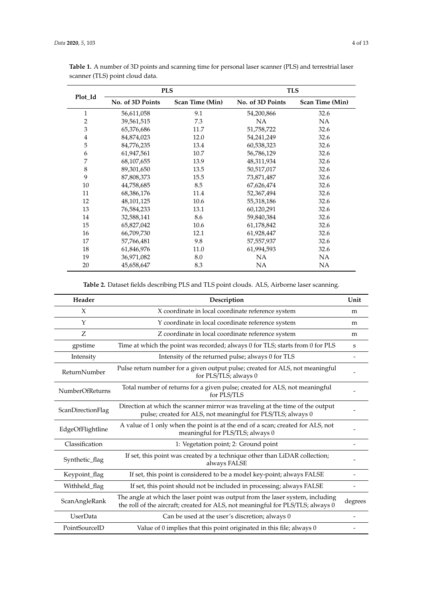| Plot_Id        |                  | <b>PLS</b>      | <b>TLS</b>       |                 |  |  |
|----------------|------------------|-----------------|------------------|-----------------|--|--|
|                | No. of 3D Points | Scan Time (Min) | No. of 3D Points | Scan Time (Min) |  |  |
| $\mathbf{1}$   | 56,611,058       | 9.1             | 54,200,866       | 32.6            |  |  |
| $\overline{2}$ | 39,561,515       | 7.3             | <b>NA</b>        | <b>NA</b>       |  |  |
| 3              | 65,376,686       | 11.7            | 51,758,722       | 32.6            |  |  |
| $\overline{4}$ | 84,874,023       | 12.0            | 54,241,249       | 32.6            |  |  |
| 5              | 84,776,235       | 13.4            | 60,538,323       | 32.6            |  |  |
| 6              | 61,947,561       | 10.7            | 56,786,129       | 32.6            |  |  |
| 7              | 68,107,655       | 13.9            | 48,311,934       | 32.6            |  |  |
| 8              | 89,301,650       | 13.5            | 50,517,017       | 32.6            |  |  |
| 9              | 87,808,373       | 15.5            | 73,871,487       | 32.6            |  |  |
| 10             | 44,758,685       | 8.5             | 67,626,474       | 32.6            |  |  |
| 11             | 68,386,176       | 11.4            | 52,367,494       | 32.6            |  |  |
| 12             | 48,101,125       | 10.6            | 55,318,186       | 32.6            |  |  |
| 13             | 76,584,233       | 13.1            | 60,120,291       | 32.6            |  |  |
| 14             | 32,588,141       | 8.6             | 59,840,384       | 32.6            |  |  |
| 15             | 65,827,042       | 10.6            | 61,178,842       | 32.6            |  |  |
| 16             | 66,709,730       | 12.1            | 61,928,447       | 32.6            |  |  |
| 17             | 57,766,481       | 9.8             | 57, 557, 937     | 32.6            |  |  |
| 18             | 61,846,976       | 11.0            | 61,994,593       | 32.6            |  |  |
| 19             | 36,971,082       | 8.0             | NA               | <b>NA</b>       |  |  |
| 20             | 45,658,647       | 8.3             | <b>NA</b>        | <b>NA</b>       |  |  |

<span id="page-3-0"></span>**Table 1.** A number of 3D points and scanning time for personal laser scanner (PLS) and terrestrial laser scanner (TLS) point cloud data.

**Table 2.** Dataset fields describing PLS and TLS point clouds. ALS, Airborne laser scanning.

<span id="page-3-1"></span>

| Header            | Description                                                                                                                                                       | Unit    |
|-------------------|-------------------------------------------------------------------------------------------------------------------------------------------------------------------|---------|
| X                 | X coordinate in local coordinate reference system                                                                                                                 | m       |
| Y                 | Y coordinate in local coordinate reference system                                                                                                                 | m       |
| Z                 | Z coordinate in local coordinate reference system                                                                                                                 | m       |
| gpstime           | Time at which the point was recorded; always 0 for TLS; starts from 0 for PLS                                                                                     | S       |
| Intensity         | Intensity of the returned pulse; always 0 for TLS                                                                                                                 |         |
| ReturnNumber      | Pulse return number for a given output pulse; created for ALS, not meaningful<br>for PLS/TLS; always 0                                                            |         |
| NumberOfReturns   | Total number of returns for a given pulse; created for ALS, not meaningful<br>for PLS/TLS                                                                         |         |
| ScanDirectionFlag | Direction at which the scanner mirror was traveling at the time of the output<br>pulse; created for ALS, not meaningful for PLS/TLS; always 0                     |         |
| EdgeOfFlightline  | A value of 1 only when the point is at the end of a scan; created for ALS, not<br>meaningful for PLS/TLS; always 0                                                |         |
| Classification    | 1: Vegetation point; 2: Ground point                                                                                                                              |         |
| Synthetic_flag    | If set, this point was created by a technique other than LiDAR collection;<br>always FALSE                                                                        |         |
| Keypoint_flag     | If set, this point is considered to be a model key-point; always FALSE                                                                                            |         |
| Withheld_flag     | If set, this point should not be included in processing; always FALSE                                                                                             |         |
| ScanAngleRank     | The angle at which the laser point was output from the laser system, including<br>the roll of the aircraft; created for ALS, not meaningful for PLS/TLS; always 0 | degrees |
| <b>UserData</b>   | Can be used at the user's discretion; always 0                                                                                                                    |         |
| PointSourceID     | Value of 0 implies that this point originated in this file; always 0                                                                                              |         |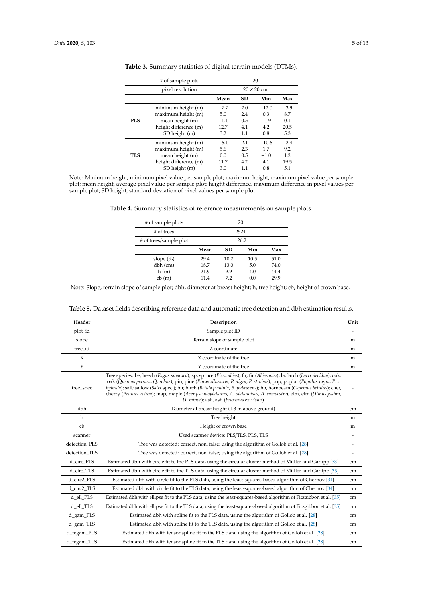|            | # of sample plots     | 20                |         |         |        |  |  |
|------------|-----------------------|-------------------|---------|---------|--------|--|--|
|            | pixel resolution      | $20 \times 20$ cm |         |         |        |  |  |
|            |                       | Mean              | SD      | Min     | Max    |  |  |
|            | minimum height (m)    | $-7.7$            | 2.0     | $-12.0$ | $-3.9$ |  |  |
|            | maximum height (m)    | 5.0               | 2.4     | 0.3     | 8.7    |  |  |
| <b>PLS</b> | mean height (m)       | $-1.1$            | 0.5     | $-1.9$  | 0.1    |  |  |
|            | height difference (m) | 12.7              | 4.1     | 4.2     | 20.5   |  |  |
|            | SD height (m)         | 3.2               | $1.1\,$ | 0.8     | 5.3    |  |  |
|            | minimum height (m)    | $-6.1$            | 2.1     | $-10.6$ | $-2.4$ |  |  |
| <b>TLS</b> | maximum height (m)    | 5.6               | 2.3     | 1.7     | 9.2    |  |  |
|            | mean height (m)       | 0.0               | 0.5     | $-1.0$  | 1.2    |  |  |
|            | height difference (m) | 11.7              | 4.2     | 4.1     | 19.5   |  |  |
|            | SD height (m)         | 3.0               | $1.1\,$ | 0.8     | 5.1    |  |  |

<span id="page-4-0"></span>**Table 3.** Summary statistics of digital terrain models (DTMs).

<span id="page-4-1"></span>Note: Minimum height, minimum pixel value per sample plot; maximum height, maximum pixel value per sample plot; mean height, average pixel value per sample plot; height difference, maximum difference in pixel values per sample plot; SD height, standard deviation of pixel values per sample plot.

|  |  |  |  | <b>Table 4.</b> Summary statistics of reference measurements on sample plots. |  |  |  |  |  |  |  |  |  |  |  |
|--|--|--|--|-------------------------------------------------------------------------------|--|--|--|--|--|--|--|--|--|--|--|
|--|--|--|--|-------------------------------------------------------------------------------|--|--|--|--|--|--|--|--|--|--|--|

| # of sample plots      | 20   |           |       |      |  |  |
|------------------------|------|-----------|-------|------|--|--|
| # of trees             | 2524 |           |       |      |  |  |
| # of trees/sample plot |      |           | 126.2 |      |  |  |
|                        | Mean | <b>SD</b> | Min   | Max  |  |  |
| slope $(\%)$           | 29.4 | 10.2      | 10.5  | 51.0 |  |  |
| dbh (cm)               | 18.7 | 13.0      | 5.0   | 74.0 |  |  |
| h(m)                   | 21.9 | 9.9       | 4.0   | 44.4 |  |  |
| cb(m)                  | 11.4 | 7.2       | 0.0   | 29.9 |  |  |
|                        |      |           |       |      |  |  |

Note: Slope, terrain slope of sample plot; dbh, diameter at breast height; h, tree height; cb, height of crown base.

<span id="page-4-2"></span>

| Header        | Description                                                                                                                                                                                                                                                                                                                                                                                                                                                                                                                                   | Unit |
|---------------|-----------------------------------------------------------------------------------------------------------------------------------------------------------------------------------------------------------------------------------------------------------------------------------------------------------------------------------------------------------------------------------------------------------------------------------------------------------------------------------------------------------------------------------------------|------|
| plot_id       | Sample plot ID                                                                                                                                                                                                                                                                                                                                                                                                                                                                                                                                |      |
| slope         | Terrain slope of sample plot                                                                                                                                                                                                                                                                                                                                                                                                                                                                                                                  | m    |
| tree_id       | Z coordinate                                                                                                                                                                                                                                                                                                                                                                                                                                                                                                                                  | m    |
| X             | X coordinate of the tree                                                                                                                                                                                                                                                                                                                                                                                                                                                                                                                      | m    |
| Y             | Y coordinate of the tree                                                                                                                                                                                                                                                                                                                                                                                                                                                                                                                      | m    |
| tree_spec     | Tree species: be, beech (Fagus silvatica); sp, spruce (Picea abies); fir, fir (Abies alba); la, larch (Larix decidua); oak,<br>oak (Quercus petraea, Q. robur); pin, pine (Pinus silvestris, P. nigra, P. strobus); pop, poplar (Populus nigra, P. x<br>hybrida); sall; sallow (Salix spec.); bir, birch (Betula pendula, B. pubescens); hb, hornbeam (Caprinus betulus); cher,<br>cherry (Prunus avium); map; maple (Acer pseudoplatanus, A. platanoides, A. campestre); elm, elm (Ulmus glabra,<br>U. minor); ash, ash (Fraxinus excelsior) |      |
| dbh           | Diameter at breast height (1.3 m above ground)                                                                                                                                                                                                                                                                                                                                                                                                                                                                                                | cm   |
| h             | Tree height                                                                                                                                                                                                                                                                                                                                                                                                                                                                                                                                   | m    |
| cb            | Height of crown base                                                                                                                                                                                                                                                                                                                                                                                                                                                                                                                          | m    |
| scanner       | Used scanner device: PLS/TLS, PLS, TLS                                                                                                                                                                                                                                                                                                                                                                                                                                                                                                        |      |
| detection_PLS | Tree was detected: correct, non, false; using the algorithm of Gollob et al. [28]                                                                                                                                                                                                                                                                                                                                                                                                                                                             |      |
| detection TLS | Tree was detected: correct, non, false; using the algorithm of Gollob et al. [28]                                                                                                                                                                                                                                                                                                                                                                                                                                                             |      |
| d_circ_PLS    | Estimated dbh with circle fit to the PLS data, using the circular cluster method of Müller and Garlipp [33]                                                                                                                                                                                                                                                                                                                                                                                                                                   | cm   |
| d_circ_TLS    | Estimated dbh with circle fit to the TLS data, using the circular cluster method of Müller and Garlipp [33]                                                                                                                                                                                                                                                                                                                                                                                                                                   | cm   |
| d circ2 PLS   | Estimated dbh with circle fit to the PLS data, using the least-squares-based algorithm of Chernov [34]                                                                                                                                                                                                                                                                                                                                                                                                                                        | cm   |
| d_circ2_TLS   | Estimated dbh with circle fit to the TLS data, using the least-squares-based algorithm of Chernov [34]                                                                                                                                                                                                                                                                                                                                                                                                                                        | cm   |
| d_ell_PLS     | Estimated dbh with ellipse fit to the PLS data, using the least-squares-based algorithm of Fitzgibbon et al. [35]                                                                                                                                                                                                                                                                                                                                                                                                                             | cm   |
| d_ell_TLS     | Estimated dbh with ellipse fit to the TLS data, using the least-squares-based algorithm of Fitzgibbon et al. [35]                                                                                                                                                                                                                                                                                                                                                                                                                             | cm   |
| d_gam_PLS     | Estimated dbh with spline fit to the PLS data, using the algorithm of Gollob et al. [28]                                                                                                                                                                                                                                                                                                                                                                                                                                                      | cm   |
| d_gam_TLS     | Estimated dbh with spline fit to the TLS data, using the algorithm of Gollob et al. [28]                                                                                                                                                                                                                                                                                                                                                                                                                                                      | cm   |
| d_tegam_PLS   | Estimated dbh with tensor spline fit to the PLS data, using the algorithm of Gollob et al. [28]                                                                                                                                                                                                                                                                                                                                                                                                                                               | cm   |
| d_tegam_TLS   | Estimated dbh with tensor spline fit to the TLS data, using the algorithm of Gollob et al. [28]                                                                                                                                                                                                                                                                                                                                                                                                                                               | cm   |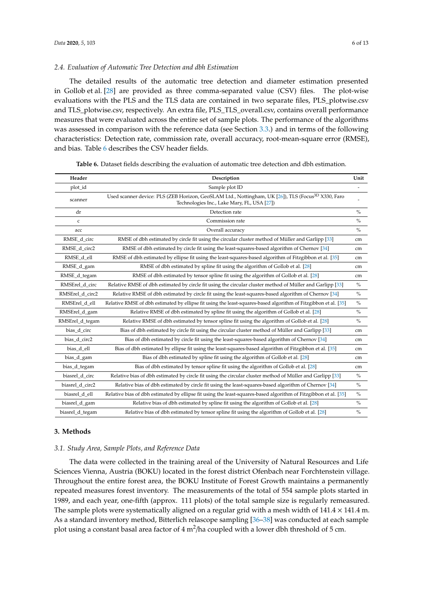## <span id="page-5-1"></span>*2.4. Evaluation of Automatic Tree Detection and dbh Estimation*

The detailed results of the automatic tree detection and diameter estimation presented in Gollob et al. [\[28\]](#page-11-9) are provided as three comma-separated value (CSV) files. The plot-wise evaluations with the PLS and the TLS data are contained in two separate files, PLS\_plotwise.csv and TLS\_plotwise.csv, respectively. An extra file, PLS\_TLS\_overall.csv, contains overall performance measures that were evaluated across the entire set of sample plots. The performance of the algorithms was assessed in comparison with the reference data (see Section [3.3.](#page-8-0)) and in terms of the following characteristics: Detection rate, commission rate, overall accuracy, root-mean-square error (RMSE), and bias. Table [6](#page-5-0) describes the CSV header fields.

<span id="page-5-0"></span>

| Header          | Description                                                                                                                                                   |               |  |  |
|-----------------|---------------------------------------------------------------------------------------------------------------------------------------------------------------|---------------|--|--|
| plot_id         | Sample plot ID                                                                                                                                                |               |  |  |
| scanner         | Used scanner device: PLS (ZEB Horizon, GeoSLAM Ltd., Nottingham, UK [26]), TLS (Focus <sup>3D</sup> X330, Faro<br>Technologies Inc., Lake Mary, FL, USA [27]) |               |  |  |
| dr              | Detection rate                                                                                                                                                | $\%$          |  |  |
| c               | Commission rate                                                                                                                                               | $\%$          |  |  |
| acc             | Overall accuracy                                                                                                                                              | $\%$          |  |  |
| RMSE_d_circ     | RMSE of dbh estimated by circle fit using the circular cluster method of Müller and Garlipp [33]                                                              | cm            |  |  |
| RMSE_d_circ2    | RMSE of dbh estimated by circle fit using the least-squares-based algorithm of Chernov [34]                                                                   | cm            |  |  |
| RMSE_d_ell      | RMSE of dbh estimated by ellipse fit using the least-squares-based algorithm of Fitzgibbon et al. [35]                                                        | cm            |  |  |
| RMSE_d_gam      | RMSE of dbh estimated by spline fit using the algorithm of Gollob et al. [28]                                                                                 | cm            |  |  |
| RMSE_d_tegam    | RMSE of dbh estimated by tensor spline fit using the algorithm of Gollob et al. [28]                                                                          | cm            |  |  |
| RMSErel_d_circ  | Relative RMSE of dbh estimated by circle fit using the circular cluster method of Müller and Garlipp [33]                                                     | $\%$          |  |  |
| RMSErel_d_circ2 | Relative RMSE of dbh estimated by circle fit using the least-squares-based algorithm of Chernov [34]                                                          | $\frac{0}{0}$ |  |  |
| RMSErel d ell   | Relative RMSE of dbh estimated by ellipse fit using the least-squares-based algorithm of Fitzgibbon et al. [35]                                               | $\%$          |  |  |
| RMSErel_d_gam   | Relative RMSE of dbh estimated by spline fit using the algorithm of Gollob et al. [28]                                                                        | $\%$          |  |  |
| RMSErel_d_tegam | Relative RMSE of dbh estimated by tensor spline fit using the algorithm of Gollob et al. [28]                                                                 | $\%$          |  |  |
| bias_d_circ     | Bias of dbh estimated by circle fit using the circular cluster method of Müller and Garlipp [33]                                                              | cm            |  |  |
| bias_d_circ2    | Bias of dbh estimated by circle fit using the least-squares-based algorithm of Chernov [34]                                                                   | cm            |  |  |
| bias_d_ell      | Bias of dbh estimated by ellipse fit using the least-squares-based algorithm of Fitzgibbon et al. [35]                                                        | cm            |  |  |
| bias_d_gam      | Bias of dbh estimated by spline fit using the algorithm of Gollob et al. [28]                                                                                 | cm            |  |  |
| bias_d_tegam    | Bias of dbh estimated by tensor spline fit using the algorithm of Gollob et al. [28]                                                                          | cm            |  |  |
| biasrel d circ  | Relative bias of dbh estimated by circle fit using the circular cluster method of Müller and Garlipp [33]                                                     | $\%$          |  |  |
| biasrel d circ2 | Relative bias of dbh estimated by circle fit using the least-squares-based algorithm of Chernov [34]                                                          | $\%$          |  |  |
| biasrel_d_ell   | Relative bias of dbh estimated by ellipse fit using the least-squares-based algorithm of Fitzgibbon et al. [35]                                               | $\%$          |  |  |
| biasrel_d_gam   | Relative bias of dbh estimated by spline fit using the algorithm of Gollob et al. [28]                                                                        | $\%$          |  |  |
| biasrel_d_tegam | Relative bias of dbh estimated by tensor spline fit using the algorithm of Gollob et al. [28]                                                                 | $\%$          |  |  |

**Table 6.** Dataset fields describing the evaluation of automatic tree detection and dbh estimation.

## **3. Methods**

## *3.1. Study Area, Sample Plots, and Reference Data*

The data were collected in the training areal of the University of Natural Resources and Life Sciences Vienna, Austria (BOKU) located in the forest district Ofenbach near Forchtenstein village. Throughout the entire forest area, the BOKU Institute of Forest Growth maintains a permanently repeated measures forest inventory. The measurements of the total of 554 sample plots started in 1989, and each year, one-fifth (approx. 111 plots) of the total sample size is regularly remeasured. The sample plots were systematically aligned on a regular grid with a mesh width of  $141.4 \times 141.4$  m. As a standard inventory method, Bitterlich relascope sampling [\[36](#page-11-17)[–38\]](#page-11-18) was conducted at each sample plot using a constant basal area factor of 4 m<sup>2</sup>/ha coupled with a lower dbh threshold of 5 cm.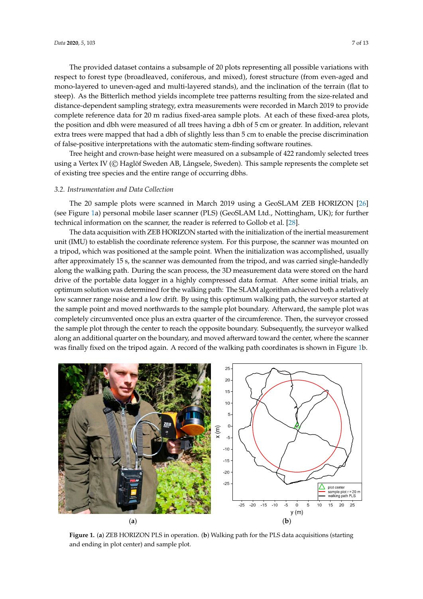The provided dataset contains a subsample of 20 plots representing all possible variations with respect to forest type (broadleaved, coniferous, and mixed), forest structure (from even-aged and mono-layered to uneven-aged and multi-layered stands), and the inclination of the terrain (flat to steep). As the Bitterlich method yields incomplete tree patterns resulting from the size-related and distance-dependent sampling strategy, extra measurements were recorded in March 2019 to provide complete reference data for 20 m radius fixed-area sample plots. At each of these fixed-area plots, the position and dbh were measured of all trees having a dbh of 5 cm or greater. In addition, relevant extra trees were mapped that had a dbh of slightly less than 5 cm to enable the precise discrimination of false-positive interpretations with the automatic stem-finding software routines.

Tree height and crown-base height were measured on a subsample of 422 randomly selected trees using a Vertex IV (© Haglöf Sweden AB, Långsele, Sweden). This sample represents the complete set of existing tree species and the entire range of occurring dbhs.

### *3.2. Instrumentation and Data Collection*

The 20 sample plots were scanned in March 2019 using a GeoSLAM ZEB HORIZON [\[26\]](#page-11-7) (see Figure [1a](#page-6-0)) personal mobile laser scanner (PLS) (GeoSLAM Ltd., Nottingham, UK); for further technical information on the scanner, the reader is referred to Gollob et al. [\[28\]](#page-11-9).

The data acquisition with ZEB HORIZON started with the initialization of the inertial measurement unit (IMU) to establish the coordinate reference system. For this purpose, the scanner was mounted on a tripod, which was positioned at the sample point. When the initialization was accomplished, usually after approximately 15 s, the scanner was demounted from the tripod, and was carried single-handedly along the walking path. During the scan process, the 3D measurement data were stored on the hard drive of the portable data logger in a highly compressed data format. After some initial trials, and the survey of the portable data logger in a highly compressed data format. After some initial trials, an optimum solution was determined for the walking path: The SLAM algorithm achieved both a relatively optimum solution was determined for the walking path: The SLAM algorithm achieved both a relatively optimum scrution was acternaties for the wanding path. The sex in algorithm ache cen centra relatively<br>low scanner range noise and a low drift. By using this optimum walking path, the surveyor started at the sample point and moved northwards to the sample plot boundary. Afterward, the sample plot was completely circumvented once plus an extra quarter of the circumference. Then, the surveyor crossed the sample plot through the center to reach the opposite boundary. Subsequently, the surveyor walked along an additional quarter on the boundary, and moved afterward toward the center, where the scanner<br>Precise of PLS systems with a static TLS system in the spatial reference of PLS systems with a static TLS system was finally fixed on the tripod again. A record of the walking path coordinates is shown in Figure [1b](#page-6-0).  $\,$  $T_{\text{min}}$  point and moved notativates to the sample processing the matrix, the sample process

<span id="page-6-0"></span>

Figure 1. (a) ZEB HORIZON PLS in operation. (b) Walking path for the PLS data acquisitions (starting and ending in plot center) and sample plot. and ending in plot center) and sample plot.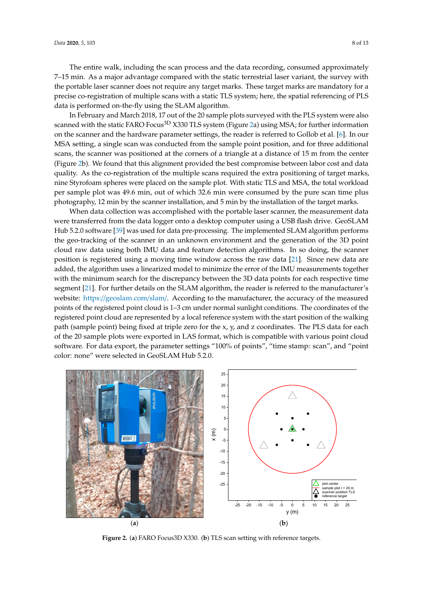The entire walk, including the scan process and the data recording, consumed approximately 7–15 min. As a major advantage compared with the static terrestrial laser variant, the survey with the portable laser scanner does not require any target marks. These target marks are mandatory for a precise co-registration of multiple scans with a static TLS system; here, the spatial referencing of PLS data is performed on-the-fly using the SLAM algorithm.

In February and March 2018, 17 out of the 20 sample plots surveyed with the PLS system were also scanned with the static FARO Focus<sup>3D</sup> X330 TLS system (Figure [2a](#page-7-0)) using MSA; for further information on the scanner and the hardware parameter settings, the reader is referred to Gollob et al. [\[6\]](#page-10-3). In our MSA setting, a single scan was conducted from the sample point position, and for three additional scans, the scanner was positioned at the corners of a triangle at a distance of 15 m from the center (Figure [2b](#page-7-0)). We found that this alignment provided the best compromise between labor cost and data quality. As the co-registration of the multiple scans required the extra positioning of target marks, nine Styrofoam spheres were placed on the sample plot. With static TLS and MSA, the total workload per sample plot was 49.6 min, out of which 32.6 min were consumed by the pure scan time plus photography, 12 min by the scanner installation, and 5 min by the installation of the target marks.

When data collection was accomplished with the portable laser scanner, the measurement data were transferred from the data logger onto a desktop computer using a USB flash drive. GeoSLAM Hub 5.2.0 software [\[39\]](#page-11-19) was used for data pre-processing. The implemented SLAM algorithm performs the geo-tracking of the scanner in an unknown environment and the generation of the 3D point cloud raw data using both IMU data and feature detection algorithms. In so doing, the scanner position is registered using a moving time window across the raw data [\[21\]](#page-11-20). Since new data are added, the algorithm uses a linearized model to minimize the error of the IMU measurements together with the minimum search for the discrepancy between the 3D data points for each respective time segment [\[21\]](#page-11-20). For further details on the SLAM algorithm, the reader is referred to the manufacturer's website: https://[geoslam.com](https://geoslam.com/slam/)/slam/. According to the manufacturer, the accuracy of the measured points of the registered point cloud is 1–3 cm under normal sunlight conditions. The coordinates of the registered point cloud are represented by a local reference system with the start position of the walking path (sample point) being fixed at triple zero for the x, y, and z coordinates. The PLS data for each of the 20 sample plots were exported in LAS format, which is compatible with various point cloud software. For data export, the parameter settings "100% of points", "time stamp: scan", and "point color: none" were selected in GeoSLAM Hub 5.2.0.

<span id="page-7-0"></span>

**Figure 2.** (**a**) FARO Focus3D X330. (**b**) TLS scan setting with reference targets. **Figure 2.** (**a**) FARO Focus3D X330. (**b**) TLS scan setting with reference targets.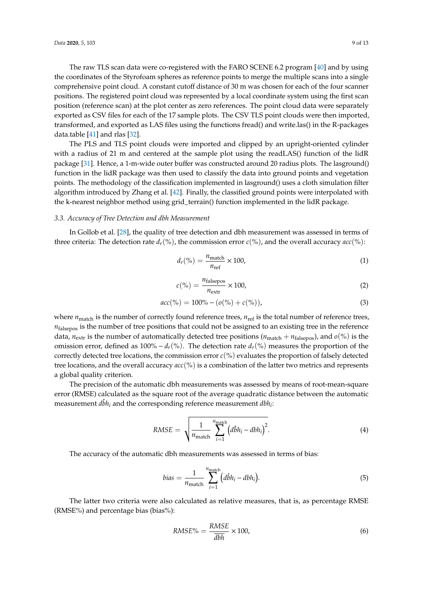The raw TLS scan data were co-registered with the FARO SCENE 6.2 program [\[40\]](#page-11-21) and by using the coordinates of the Styrofoam spheres as reference points to merge the multiple scans into a single comprehensive point cloud. A constant cutoff distance of 30 m was chosen for each of the four scanner positions. The registered point cloud was represented by a local coordinate system using the first scan position (reference scan) at the plot center as zero references. The point cloud data were separately exported as CSV files for each of the 17 sample plots. The CSV TLS point clouds were then imported, transformed, and exported as LAS files using the functions fread() and write.las() in the R-packages data.table [\[41\]](#page-12-0) and rlas [\[32\]](#page-11-13).

The PLS and TLS point clouds were imported and clipped by an upright-oriented cylinder with a radius of 21 m and centered at the sample plot using the readLAS() function of the lidR package [\[31\]](#page-11-12). Hence, a 1-m-wide outer buffer was constructed around 20 radius plots. The lasground() function in the lidR package was then used to classify the data into ground points and vegetation points. The methodology of the classification implemented in lasground() uses a cloth simulation filter algorithm introduced by Zhang et al. [\[42\]](#page-12-1). Finally, the classified ground points were interpolated with the k-nearest neighbor method using grid\_terrain() function implemented in the lidR package.

## <span id="page-8-0"></span>*3.3. Accuracy of Tree Detection and dbh Measurement*

In Gollob et al. [\[28\]](#page-11-9), the quality of tree detection and dbh measurement was assessed in terms of three criteria: The detection rate  $d_r(\%)$ , the commission error  $c(\%)$ , and the overall accuracy  $acc(\%)$ :

$$
d_r(\%) = \frac{n_{\text{match}}}{n_{\text{ref}}} \times 100,\tag{1}
$$

$$
c(\%) = \frac{n_{\text{falsepos}}}{n_{\text{extr}}} \times 100,\tag{2}
$$

$$
acc(\%) = 100\% - (o(\%) + c(\%)),
$$
\n(3)

where  $n_{\text{match}}$  is the number of correctly found reference trees,  $n_{\text{ref}}$  is the total number of reference trees,  $n_{\text{falsepos}}$  is the number of tree positions that could not be assigned to an existing tree in the reference data,  $n_{\text{extr}}$  is the number of automatically detected tree positions  $(n_{\text{match}} + n_{\text{falsepos}})$ , and  $o(\%)$  is the omission error, defined as 100% − *dr*(%). The detection rate *dr*(%) measures the proportion of the correctly detected tree locations, the commission error  $c$ (%) evaluates the proportion of falsely detected tree locations, and the overall accuracy *acc*(%) is a combination of the latter two metrics and represents a global quality criterion.

The precision of the automatic dbh measurements was assessed by means of root-mean-square error (RMSE) calculated as the square root of the average quadratic distance between the automatic measurement  $d\hat{b}h_i$  and the corresponding reference measurement  $dbh_i$ :

$$
RMSE = \sqrt{\frac{1}{n_{\text{match}}}\sum_{i=1}^{n_{\text{match}}} \left(d\hat{b}h_i - dbh_i\right)^2}.
$$
 (4)

The accuracy of the automatic dbh measurements was assessed in terms of bias:

$$
bias = \frac{1}{n_{\text{match}}} \sum_{i=1}^{n_{\text{match}}} \left( d\hat{b}h_i - dbh_i \right).
$$
 (5)

The latter two criteria were also calculated as relative measures, that is, as percentage RMSE (RMSE%) and percentage bias (bias%):

$$
RMSE\% = \frac{RMSE}{\overline{dbh}} \times 100,\tag{6}
$$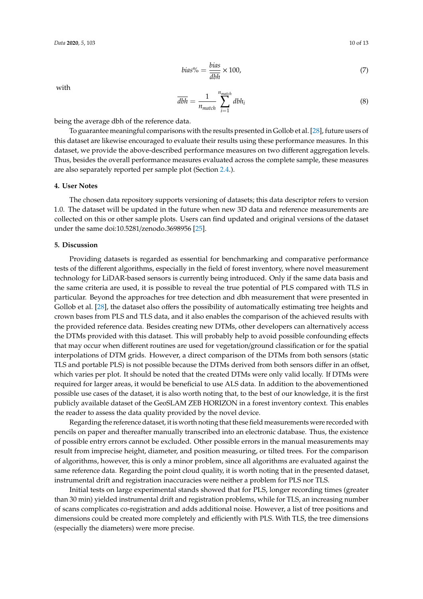$$
bias\% = \frac{bias}{dbh} \times 100,\tag{7}
$$

with

$$
\overline{dbh} = \frac{1}{n_{match}} \sum_{i=1}^{n_{match}} dbh_i
$$
\n(8)

being the average dbh of the reference data.

To guarantee meaningful comparisons with the results presented in Gollob et al. [\[28\]](#page-11-9), future users of this dataset are likewise encouraged to evaluate their results using these performance measures. In this dataset, we provide the above-described performance measures on two different aggregation levels. Thus, besides the overall performance measures evaluated across the complete sample, these measures are also separately reported per sample plot (Section [2.4.](#page-5-1)).

## **4. User Notes**

The chosen data repository supports versioning of datasets; this data descriptor refers to version 1.0. The dataset will be updated in the future when new 3D data and reference measurements are collected on this or other sample plots. Users can find updated and original versions of the dataset under the same doi:10.5281/zenodo.3698956 [\[25\]](#page-11-6).

## **5. Discussion**

Providing datasets is regarded as essential for benchmarking and comparative performance tests of the different algorithms, especially in the field of forest inventory, where novel measurement technology for LiDAR-based sensors is currently being introduced. Only if the same data basis and the same criteria are used, it is possible to reveal the true potential of PLS compared with TLS in particular. Beyond the approaches for tree detection and dbh measurement that were presented in Gollob et al. [\[28\]](#page-11-9), the dataset also offers the possibility of automatically estimating tree heights and crown bases from PLS and TLS data, and it also enables the comparison of the achieved results with the provided reference data. Besides creating new DTMs, other developers can alternatively access the DTMs provided with this dataset. This will probably help to avoid possible confounding effects that may occur when different routines are used for vegetation/ground classification or for the spatial interpolations of DTM grids. However, a direct comparison of the DTMs from both sensors (static TLS and portable PLS) is not possible because the DTMs derived from both sensors differ in an offset, which varies per plot. It should be noted that the created DTMs were only valid locally. If DTMs were required for larger areas, it would be beneficial to use ALS data. In addition to the abovementioned possible use cases of the dataset, it is also worth noting that, to the best of our knowledge, it is the first publicly available dataset of the GeoSLAM ZEB HORIZON in a forest inventory context. This enables the reader to assess the data quality provided by the novel device.

Regarding the reference dataset, it is worth noting that these field measurements were recorded with pencils on paper and thereafter manually transcribed into an electronic database. Thus, the existence of possible entry errors cannot be excluded. Other possible errors in the manual measurements may result from imprecise height, diameter, and position measuring, or tilted trees. For the comparison of algorithms, however, this is only a minor problem, since all algorithms are evaluated against the same reference data. Regarding the point cloud quality, it is worth noting that in the presented dataset, instrumental drift and registration inaccuracies were neither a problem for PLS nor TLS.

Initial tests on large experimental stands showed that for PLS, longer recording times (greater than 30 min) yielded instrumental drift and registration problems, while for TLS, an increasing number of scans complicates co-registration and adds additional noise. However, a list of tree positions and dimensions could be created more completely and efficiently with PLS. With TLS, the tree dimensions (especially the diameters) were more precise.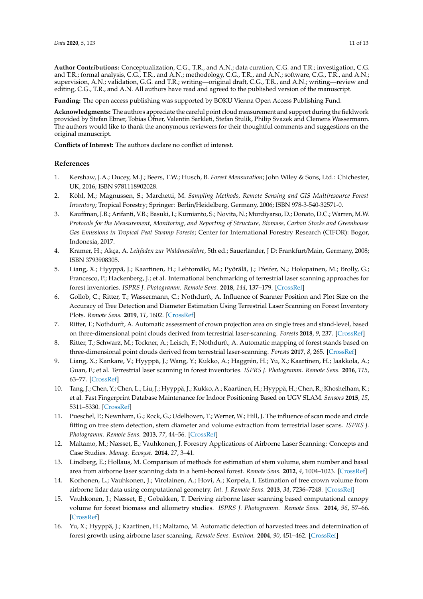**Author Contributions:** Conceptualization, C.G., T.R., and A.N.; data curation, C.G. and T.R.; investigation, C.G. and T.R.; formal analysis, C.G., T.R., and A.N.; methodology, C.G., T.R., and A.N.; software, C.G., T.R., and A.N.; supervision, A.N.; validation, G.G. and T.R.; writing—original draft, C.G., T.R., and A.N.; writing—review and editing, C.G., T.R., and A.N. All authors have read and agreed to the published version of the manuscript.

**Funding:** The open access publishing was supported by BOKU Vienna Open Access Publishing Fund.

**Acknowledgments:** The authors appreciate the careful point cloud measurement and support during the fieldwork provided by Stefan Ebner, Tobias Ofner, Valentin Sarkleti, Stefan Stulik, Philip Svazek and Clemens Wassermann. The authors would like to thank the anonymous reviewers for their thoughtful comments and suggestions on the original manuscript.

**Conflicts of Interest:** The authors declare no conflict of interest.

## **References**

- <span id="page-10-0"></span>1. Kershaw, J.A.; Ducey, M.J.; Beers, T.W.; Husch, B. *Forest Mensuration*; John Wiley & Sons, Ltd.: Chichester, UK, 2016; ISBN 9781118902028.
- 2. Köhl, M.; Magnussen, S.; Marchetti, M. *Sampling Methods, Remote Sensing and GIS Multiresource Forest Inventory*; Tropical Forestry; Springer: Berlin/Heidelberg, Germany, 2006; ISBN 978-3-540-32571-0.
- 3. Kauffman, J.B.; Arifanti, V.B.; Basuki, I.; Kurnianto, S.; Novita, N.; Murdiyarso, D.; Donato, D.C.; Warren, M.W. *Protocols for the Measurement, Monitoring, and Reporting of Structure, Biomass, Carbon Stocks and Greenhouse Gas Emissions in Tropical Peat Swamp Forests*; Center for International Forestry Research (CIFOR): Bogor, Indonesia, 2017.
- <span id="page-10-1"></span>4. Kramer, H.; Akça, A. *Leitfaden zur Waldmesslehre*, 5th ed.; Sauerländer, J D: Frankfurt/Main, Germany, 2008; ISBN 3793908305.
- <span id="page-10-2"></span>5. Liang, X.; Hyyppä, J.; Kaartinen, H.; Lehtomäki, M.; Pyörälä, J.; Pfeifer, N.; Holopainen, M.; Brolly, G.; Francesco, P.; Hackenberg, J.; et al. International benchmarking of terrestrial laser scanning approaches for forest inventories. *ISPRS J. Photogramm. Remote Sens.* **2018**, *144*, 137–179. [\[CrossRef\]](http://dx.doi.org/10.1016/j.isprsjprs.2018.06.021)
- <span id="page-10-3"></span>6. Gollob, C.; Ritter, T.; Wassermann, C.; Nothdurft, A. Influence of Scanner Position and Plot Size on the Accuracy of Tree Detection and Diameter Estimation Using Terrestrial Laser Scanning on Forest Inventory Plots. *Remote Sens.* **2019**, *11*, 1602. [\[CrossRef\]](http://dx.doi.org/10.3390/rs11131602)
- 7. Ritter, T.; Nothdurft, A. Automatic assessment of crown projection area on single trees and stand-level, based on three-dimensional point clouds derived from terrestrial laser-scanning. *Forests* **2018**, *9*, 237. [\[CrossRef\]](http://dx.doi.org/10.3390/f9050237)
- 8. Ritter, T.; Schwarz, M.; Tockner, A.; Leisch, F.; Nothdurft, A. Automatic mapping of forest stands based on three-dimensional point clouds derived from terrestrial laser-scanning. *Forests* **2017**, *8*, 265. [\[CrossRef\]](http://dx.doi.org/10.3390/f8080265)
- <span id="page-10-5"></span>9. Liang, X.; Kankare, V.; Hyyppä, J.; Wang, Y.; Kukko, A.; Haggrén, H.; Yu, X.; Kaartinen, H.; Jaakkola, A.; Guan, F.; et al. Terrestrial laser scanning in forest inventories. *ISPRS J. Photogramm. Remote Sens.* **2016**, *115*, 63–77. [\[CrossRef\]](http://dx.doi.org/10.1016/j.isprsjprs.2016.01.006)
- <span id="page-10-4"></span>10. Tang, J.; Chen, Y.; Chen, L.; Liu, J.; Hyyppä, J.; Kukko, A.; Kaartinen, H.; Hyyppä, H.; Chen, R.; Khoshelham, K.; et al. Fast Fingerprint Database Maintenance for Indoor Positioning Based on UGV SLAM. *Sensors* **2015**, *15*, 5311–5330. [\[CrossRef\]](http://dx.doi.org/10.3390/s150305311)
- <span id="page-10-6"></span>11. Pueschel, P.; Newnham, G.; Rock, G.; Udelhoven, T.; Werner, W.; Hill, J. The influence of scan mode and circle fitting on tree stem detection, stem diameter and volume extraction from terrestrial laser scans. *ISPRS J. Photogramm. Remote Sens.* **2013**, *77*, 44–56. [\[CrossRef\]](http://dx.doi.org/10.1016/j.isprsjprs.2012.12.001)
- <span id="page-10-7"></span>12. Maltamo, M.; Næsset, E.; Vauhkonen, J. Forestry Applications of Airborne Laser Scanning: Concepts and Case Studies. *Manag. Ecosyst.* **2014**, *27*, 3–41.
- 13. Lindberg, E.; Hollaus, M. Comparison of methods for estimation of stem volume, stem number and basal area from airborne laser scanning data in a hemi-boreal forest. *Remote Sens.* **2012**, *4*, 1004–1023. [\[CrossRef\]](http://dx.doi.org/10.3390/rs4041004)
- 14. Korhonen, L.; Vauhkonen, J.; Virolainen, A.; Hovi, A.; Korpela, I. Estimation of tree crown volume from airborne lidar data using computational geometry. *Int. J. Remote Sens.* **2013**, *34*, 7236–7248. [\[CrossRef\]](http://dx.doi.org/10.1080/01431161.2013.817715)
- 15. Vauhkonen, J.; Næsset, E.; Gobakken, T. Deriving airborne laser scanning based computational canopy volume for forest biomass and allometry studies. *ISPRS J. Photogramm. Remote Sens.* **2014**, *96*, 57–66. [\[CrossRef\]](http://dx.doi.org/10.1016/j.isprsjprs.2014.07.001)
- <span id="page-10-8"></span>16. Yu, X.; Hyyppä, J.; Kaartinen, H.; Maltamo, M. Automatic detection of harvested trees and determination of forest growth using airborne laser scanning. *Remote Sens. Environ.* **2004**, *90*, 451–462. [\[CrossRef\]](http://dx.doi.org/10.1016/j.rse.2004.02.001)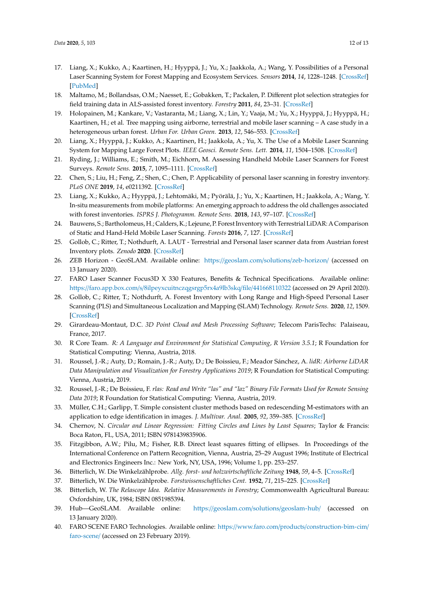- <span id="page-11-0"></span>17. Liang, X.; Kukko, A.; Kaartinen, H.; Hyyppä, J.; Yu, X.; Jaakkola, A.; Wang, Y. Possibilities of a Personal Laser Scanning System for Forest Mapping and Ecosystem Services. *Sensors* **2014**, *14*, 1228–1248. [\[CrossRef\]](http://dx.doi.org/10.3390/s140101228) [\[PubMed\]](http://www.ncbi.nlm.nih.gov/pubmed/24434879)
- <span id="page-11-1"></span>18. Maltamo, M.; Bollandsas, O.M.; Naesset, E.; Gobakken, T.; Packalen, P. Different plot selection strategies for field training data in ALS-assisted forest inventory. *Forestry* **2011**, *84*, 23–31. [\[CrossRef\]](http://dx.doi.org/10.1093/forestry/cpq039)
- <span id="page-11-2"></span>19. Holopainen, M.; Kankare, V.; Vastaranta, M.; Liang, X.; Lin, Y.; Vaaja, M.; Yu, X.; Hyyppä, J.; Hyyppä, H.; Kaartinen, H.; et al. Tree mapping using airborne, terrestrial and mobile laser scanning – A case study in a heterogeneous urban forest. *Urban For. Urban Green.* **2013**, *12*, 546–553. [\[CrossRef\]](http://dx.doi.org/10.1016/j.ufug.2013.06.002)
- 20. Liang, X.; Hyyppä, J.; Kukko, A.; Kaartinen, H.; Jaakkola, A.; Yu, X. The Use of a Mobile Laser Scanning System for Mapping Large Forest Plots. *IEEE Geosci. Remote Sens. Lett.* **2014**, *11*, 1504–1508. [\[CrossRef\]](http://dx.doi.org/10.1109/LGRS.2013.2297418)
- <span id="page-11-20"></span>21. Ryding, J.; Williams, E.; Smith, M.; Eichhorn, M. Assessing Handheld Mobile Laser Scanners for Forest Surveys. *Remote Sens.* **2015**, *7*, 1095–1111. [\[CrossRef\]](http://dx.doi.org/10.3390/rs70101095)
- <span id="page-11-4"></span>22. Chen, S.; Liu, H.; Feng, Z.; Shen, C.; Chen, P. Applicability of personal laser scanning in forestry inventory. *PLoS ONE* **2019**, *14*, e0211392. [\[CrossRef\]](http://dx.doi.org/10.1371/journal.pone.0211392)
- <span id="page-11-3"></span>23. Liang, X.; Kukko, A.; Hyyppä, J.; Lehtomäki, M.; Pyörälä, J.; Yu, X.; Kaartinen, H.; Jaakkola, A.; Wang, Y. In-situ measurements from mobile platforms: An emerging approach to address the old challenges associated with forest inventories. *ISPRS J. Photogramm. Remote Sens.* **2018**, *143*, 97–107. [\[CrossRef\]](http://dx.doi.org/10.1016/j.isprsjprs.2018.04.019)
- <span id="page-11-5"></span>24. Bauwens, S.; Bartholomeus, H.; Calders, K.; Lejeune, P. Forest Inventory with Terrestrial LiDAR: A Comparison of Static and Hand-Held Mobile Laser Scanning. *Forests* **2016**, *7*, 127. [\[CrossRef\]](http://dx.doi.org/10.3390/f7060127)
- <span id="page-11-6"></span>25. Gollob, C.; Ritter, T.; Nothdurft, A. LAUT - Terrestrial and Personal laser scanner data from Austrian forest Inventory plots. *Zenodo* **2020**. [\[CrossRef\]](http://dx.doi.org/10.5281/ZENODO.3698956)
- <span id="page-11-7"></span>26. ZEB Horizon - GeoSLAM. Available online: https://[geoslam.com](https://geoslam.com/solutions/zeb-horizon/)/solutions/zeb-horizon/ (accessed on 13 January 2020).
- <span id="page-11-8"></span>27. FARO Laser Scanner Focus3D X 330 Features, Benefits & Technical Specifications. Available online: https://faro.app.box.com/s/[8ilpeyxcuitnczqgsrgp5rx4a9lb3skq](https://faro.app.box.com/s/8ilpeyxcuitnczqgsrgp5rx4a9lb3skq/file/441668110322)/file/441668110322 (accessed on 29 April 2020).
- <span id="page-11-9"></span>28. Gollob, C.; Ritter, T.; Nothdurft, A. Forest Inventory with Long Range and High-Speed Personal Laser Scanning (PLS) and Simultaneous Localization and Mapping (SLAM) Technology. *Remote Sens.* **2020**, *12*, 1509. [\[CrossRef\]](http://dx.doi.org/10.3390/rs12091509)
- <span id="page-11-10"></span>29. Girardeau-Montaut, D.C. *3D Point Cloud and Mesh Processing Software*; Telecom ParisTechs: Palaiseau, France, 2017.
- <span id="page-11-11"></span>30. R Core Team. *R: A Language and Environment for Statistical Computing, R Version 3.5.1*; R Foundation for Statistical Computing: Vienna, Austria, 2018.
- <span id="page-11-12"></span>31. Roussel, J.-R.; Auty, D.; Romain, J.-R.; Auty, D.; De Boissieu, F.; Meador Sánchez, A. *lidR: Airborne LiDAR Data Manipulation and Visualization for Forestry Applications 2019*; R Foundation for Statistical Computing: Vienna, Austria, 2019.
- <span id="page-11-13"></span>32. Roussel, J.-R.; De Boissieu, F. *rlas: Read and Write "las" and "laz" Binary File Formats Used for Remote Sensing Data 2019*; R Foundation for Statistical Computing: Vienna, Austria, 2019.
- <span id="page-11-14"></span>33. Müller, C.H.; Garlipp, T. Simple consistent cluster methods based on redescending M-estimators with an application to edge identification in images. *J. Multivar. Anal.* **2005**, *92*, 359–385. [\[CrossRef\]](http://dx.doi.org/10.1016/j.jmva.2003.12.005)
- <span id="page-11-15"></span>34. Chernov, N. *Circular and Linear Regression: Fitting Circles and Lines by Least Squares*; Taylor & Francis: Boca Raton, FL, USA, 2011; ISBN 9781439835906.
- <span id="page-11-16"></span>35. Fitzgibbon, A.W.; Pilu, M.; Fisher, R.B. Direct least squares fitting of ellipses. In Proceedings of the International Conference on Pattern Recognition, Vienna, Austria, 25–29 August 1996; Institute of Electrical and Electronics Engineers Inc.: New York, NY, USA, 1996; Volume 1, pp. 253–257.
- <span id="page-11-17"></span>36. Bitterlich, W. Die Winkelzählprobe. *Allg. forst- und holzwirtschaftliche Zeitung* **1948**, *59*, 4–5. [\[CrossRef\]](http://dx.doi.org/10.1007/BF01821439)
- 37. Bitterlich, W. Die Winkelzählprobe. *Forstwissenschaftliches Cent.* **1952**, *71*, 215–225. [\[CrossRef\]](http://dx.doi.org/10.1007/BF01821439)
- <span id="page-11-18"></span>38. Bitterlich, W. *The Relascope Idea. Relative Measurements in Forestry*; Commonwealth Agricultural Bureau: Oxfordshire, UK, 1984; ISBN 0851985394.
- <span id="page-11-19"></span>39. Hub—GeoSLAM. Available online: https://geoslam.com/solutions/[geoslam-hub](https://geoslam.com/solutions/geoslam-hub/)/ (accessed on 13 January 2020).
- <span id="page-11-21"></span>40. FARO SCENE FARO Technologies. Available online: https://www.faro.com/products/[construction-bim-cim](https://www.faro.com/products/construction-bim-cim/faro-scene/)/ [faro-scene](https://www.faro.com/products/construction-bim-cim/faro-scene/)/ (accessed on 23 February 2019).